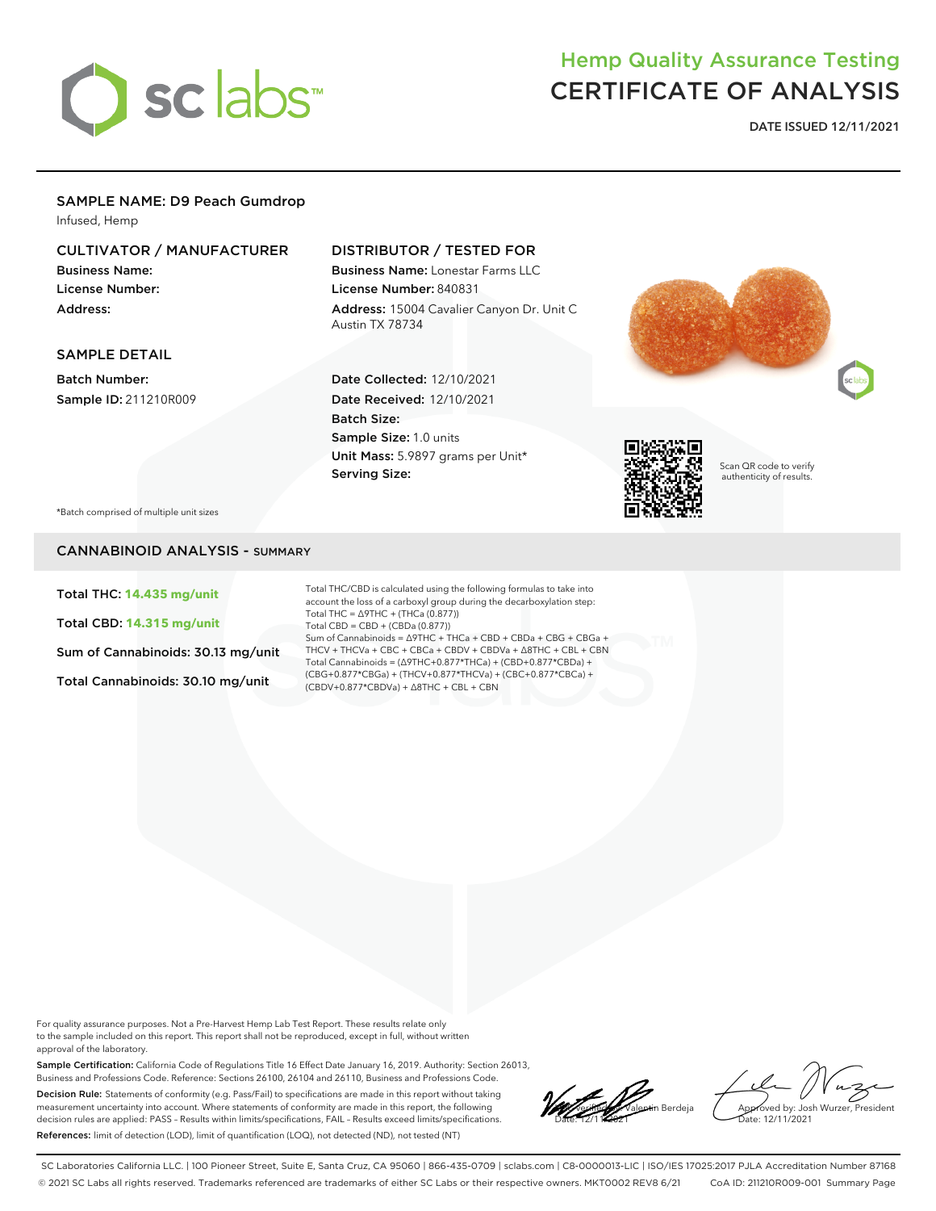

# Hemp Quality Assurance Testing CERTIFICATE OF ANALYSIS

**DATE ISSUED 12/11/2021**

### SAMPLE NAME: D9 Peach Gumdrop

Infused, Hemp

## CULTIVATOR / MANUFACTURER

Business Name: License Number: Address:

# DISTRIBUTOR / TESTED FOR

Business Name: Lonestar Farms LLC License Number: 840831 Address: 15004 Cavalier Canyon Dr. Unit C Austin TX 78734

#### SAMPLE DETAIL

Batch Number: Sample ID: 211210R009

#### Date Collected: 12/10/2021 Date Received: 12/10/2021 Batch Size: Sample Size: 1.0 units Unit Mass: 5.9897 grams per Unit\* Serving Size:





Scan QR code to verify authenticity of results.

\*Batch comprised of multiple unit sizes

#### CANNABINOID ANALYSIS - SUMMARY

Total THC: **14.435 mg/unit**

Total CBD: **14.315 mg/unit**

Sum of Cannabinoids: 30.13 mg/unit

Total Cannabinoids: 30.10 mg/unit

Total THC/CBD is calculated using the following formulas to take into account the loss of a carboxyl group during the decarboxylation step: Total THC = ∆9THC + (THCa (0.877)) Total CBD = CBD + (CBDa (0.877)) Sum of Cannabinoids = ∆9THC + THCa + CBD + CBDa + CBG + CBGa + THCV + THCVa + CBC + CBCa + CBDV + CBDVa + ∆8THC + CBL + CBN Total Cannabinoids = (∆9THC+0.877\*THCa) + (CBD+0.877\*CBDa) + (CBG+0.877\*CBGa) + (THCV+0.877\*THCVa) + (CBC+0.877\*CBCa) + (CBDV+0.877\*CBDVa) + ∆8THC + CBL + CBN

For quality assurance purposes. Not a Pre-Harvest Hemp Lab Test Report. These results relate only to the sample included on this report. This report shall not be reproduced, except in full, without written approval of the laboratory.

Sample Certification: California Code of Regulations Title 16 Effect Date January 16, 2019. Authority: Section 26013, Business and Professions Code. Reference: Sections 26100, 26104 and 26110, Business and Professions Code. Decision Rule: Statements of conformity (e.g. Pass/Fail) to specifications are made in this report without taking measurement uncertainty into account. Where statements of conformity are made in this report, the following decision rules are applied: PASS – Results within limits/specifications, FAIL – Results exceed limits/specifications. References: limit of detection (LOD), limit of quantification (LOQ), not detected (ND), not tested (NT)

**Local valentin Berdeja** Date: 12/11/2021

Approved by: Josh Wurzer, President ate: 12/11/2021

SC Laboratories California LLC. | 100 Pioneer Street, Suite E, Santa Cruz, CA 95060 | 866-435-0709 | sclabs.com | C8-0000013-LIC | ISO/IES 17025:2017 PJLA Accreditation Number 87168 © 2021 SC Labs all rights reserved. Trademarks referenced are trademarks of either SC Labs or their respective owners. MKT0002 REV8 6/21 CoA ID: 211210R009-001 Summary Page